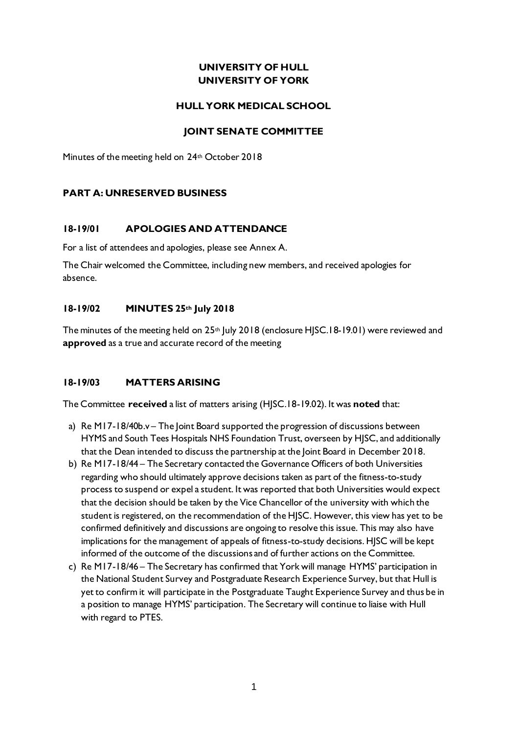# **UNIVERSITY OF HULL UNIVERSITY OF YORK**

#### **HULL YORK MEDICAL SCHOOL**

#### **JOINT SENATE COMMITTEE**

Minutes of the meeting held on 24<sup>th</sup> October 2018

### **PART A: UNRESERVED BUSINESS**

### **18-19/01 APOLOGIES AND ATTENDANCE**

For a list of attendees and apologies, please see Annex A.

The Chair welcomed the Committee, including new members, and received apologies for absence.

#### **18-19/02 MINUTES 25th July 2018**

The minutes of the meeting held on  $25<sup>th</sup>$  July 2018 (enclosure HJSC.18-19.01) were reviewed and **approved** as a true and accurate record of the meeting

#### **18-19/03 MATTERS ARISING**

The Committee **received** a list of matters arising (HJSC.18-19.02). It was **noted** that:

- a) Re M17-18/40b.v The Joint Board supported the progression of discussions between HYMS and South Tees Hospitals NHS Foundation Trust, overseen by HJSC, and additionally that the Dean intended to discuss the partnership at the Joint Board in December 2018.
- b) Re M17-18/44 The Secretary contacted the Governance Officers of both Universities regarding who should ultimately approve decisions taken as part of the fitness-to-study process to suspend or expel a student. It was reported that both Universities would expect that the decision should be taken by the Vice Chancellor of the university with which the student is registered, on the recommendation of the HJSC. However, this view has yet to be confirmed definitively and discussions are ongoing to resolve this issue. This may also have implications for the management of appeals of fitness-to-study decisions. HJSC will be kept informed of the outcome of the discussions and of further actions on the Committee.
- c) Re M17-18/46 The Secretary has confirmed that York will manage HYMS' participation in the National Student Survey and Postgraduate Research Experience Survey, but that Hull is yet to confirm it will participate in the Postgraduate Taught Experience Survey and thus be in a position to manage HYMS' participation. The Secretary will continue to liaise with Hull with regard to PTES.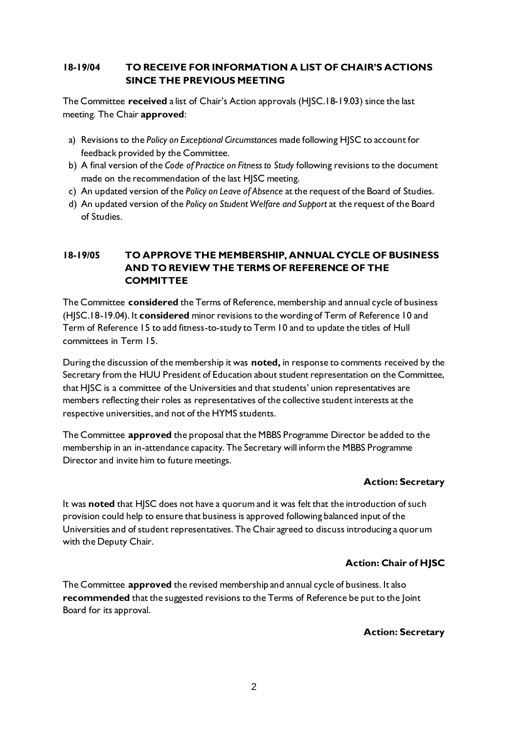## **18-19/04 TO RECEIVE FOR INFORMATION A LIST OF CHAIR'S ACTIONS SINCE THE PREVIOUS MEETING**

The Committee **received** a list of Chair's Action approvals (HJSC.18-19.03) since the last meeting. The Chair **approved**:

- a) Revisions to the *Policy on Exceptional Circumstances* made following HJSC to account for feedback provided by the Committee.
- b) A final version of the *Code of Practice on Fitness to Study* following revisions to the document made on the recommendation of the last HJSC meeting.
- c) An updated version of the *Policy on Leave of Absence* at the request of the Board of Studies.
- d) An updated version of the *Policy on Student Welfare and Support* at the request of the Board of Studies.

# **18-19/05 TO APPROVE THE MEMBERSHIP, ANNUAL CYCLE OF BUSINESS AND TO REVIEW THE TERMS OF REFERENCE OF THE COMMITTEE**

The Committee **considered** the Terms of Reference, membership and annual cycle of business (HJSC.18-19.04). It **considered** minor revisions to the wording of Term of Reference 10 and Term of Reference 15 to add fitness-to-study to Term 10 and to update the titles of Hull committees in Term 15.

During the discussion of the membership it was **noted,** in response to comments received by the Secretary from the HUU President of Education about student representation on the Committee, that HJSC is a committee of the Universities and that students' union representatives are members reflecting their roles as representatives of the collective student interests at the respective universities, and not of the HYMS students.

The Committee **approved** the proposal that the MBBS Programme Director be added to the membership in an in-attendance capacity. The Secretary will inform the MBBS Programme Director and invite him to future meetings.

## **Action: Secretary**

It was **noted** that HJSC does not have a quorum and it was felt that the introduction of such provision could help to ensure that business is approved following balanced input of the Universities and of student representatives. The Chair agreed to discuss introducing a quorum with the Deputy Chair.

## **Action: Chair of HJSC**

The Committee **approved** the revised membership and annual cycle of business. It also **recommended** that the suggested revisions to the Terms of Reference be put to the Joint Board for its approval.

## **Action: Secretary**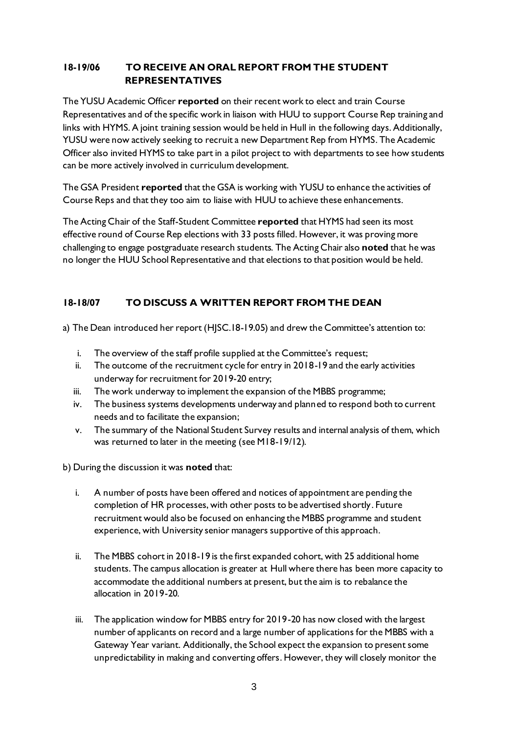# **18-19/06 TO RECEIVE AN ORAL REPORT FROM THE STUDENT REPRESENTATIVES**

The YUSU Academic Officer **reported** on their recent work to elect and train Course Representatives and of the specific work in liaison with HUU to support Course Rep training and links with HYMS. A joint training session would be held in Hull in the following days. Additionally, YUSU were now actively seeking to recruit a new Department Rep from HYMS. The Academic Officer also invited HYMS to take part in a pilot project to with departments to see how students can be more actively involved in curriculum development.

The GSA President **reported** that the GSA is working with YUSU to enhance the activities of Course Reps and that they too aim to liaise with HUU to achieve these enhancements.

The Acting Chair of the Staff-Student Committee **reported** that HYMS had seen its most effective round of Course Rep elections with 33 posts filled. However, it was proving more challenging to engage postgraduate research students. The Acting Chair also **noted** that he was no longer the HUU School Representative and that elections to that position would be held.

# **18-18/07 TO DISCUSS A WRITTEN REPORT FROM THE DEAN**

a) The Dean introduced her report (HJSC.18-19.05) and drew the Committee's attention to:

- i. The overview of the staff profile supplied at the Committee's request;
- ii. The outcome of the recruitment cycle for entry in 2018-19 and the early activities underway for recruitment for 2019-20 entry;
- iii. The work underway to implement the expansion of the MBBS programme;
- iv. The business systems developments underway and planned to respond both to current needs and to facilitate the expansion;
- v. The summary of the National Student Survey results and internal analysis of them, which was returned to later in the meeting (see M18-19/12).

b) During the discussion it was **noted** that:

- i. A number of posts have been offered and notices of appointment are pending the completion of HR processes, with other posts to be advertised shortly. Future recruitment would also be focused on enhancing the MBBS programme and student experience, with University senior managers supportive of this approach.
- ii. The MBBS cohort in 2018-19 is the first expanded cohort, with 25 additional home students. The campus allocation is greater at Hull where there has been more capacity to accommodate the additional numbers at present, but the aim is to rebalance the allocation in 2019-20.
- iii. The application window for MBBS entry for 2019-20 has now closed with the largest number of applicants on record and a large number of applications for the MBBS with a Gateway Year variant. Additionally, the School expect the expansion to present some unpredictability in making and converting offers. However, they will closely monitor the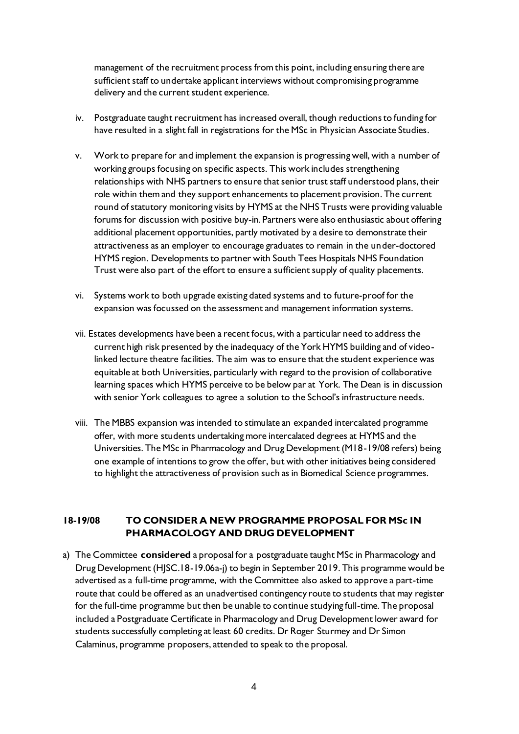management of the recruitment process from this point, including ensuring there are sufficient staff to undertake applicant interviews without compromising programme delivery and the current student experience.

- iv. Postgraduate taught recruitment has increased overall, though reductions to funding for have resulted in a slight fall in registrations for the MSc in Physician Associate Studies.
- v. Work to prepare for and implement the expansion is progressing well, with a number of working groups focusing on specific aspects. This work includes strengthening relationships with NHS partners to ensure that senior trust staff understood plans, their role within them and they support enhancements to placement provision. The current round of statutory monitoring visits by HYMS at the NHS Trusts were providing valuable forums for discussion with positive buy-in. Partners were also enthusiastic about offering additional placement opportunities, partly motivated by a desire to demonstrate their attractiveness as an employer to encourage graduates to remain in the under-doctored HYMS region. Developments to partner with South Tees Hospitals NHS Foundation Trust were also part of the effort to ensure a sufficient supply of quality placements.
- vi. Systems work to both upgrade existing dated systems and to future-proof for the expansion was focussed on the assessment and management information systems.
- vii. Estates developments have been a recent focus, with a particular need to address the current high risk presented by the inadequacy of the York HYMS building and of videolinked lecture theatre facilities. The aim was to ensure that the student experience was equitable at both Universities, particularly with regard to the provision of collaborative learning spaces which HYMS perceive to be below par at York. The Dean is in discussion with senior York colleagues to agree a solution to the School's infrastructure needs.
- viii. The MBBS expansion was intended to stimulate an expanded intercalated programme offer, with more students undertaking more intercalated degrees at HYMS and the Universities. The MSc in Pharmacology and Drug Development (M18-19/08 refers) being one example of intentions to grow the offer, but with other initiatives being considered to highlight the attractiveness of provision such as in Biomedical Science programmes.

### **18-19/08 TO CONSIDER A NEW PROGRAMME PROPOSAL FOR MSc IN PHARMACOLOGY AND DRUG DEVELOPMENT**

a) The Committee **considered** a proposal for a postgraduate taught MSc in Pharmacology and Drug Development (HJSC.18-19.06a-j) to begin in September 2019. This programme would be advertised as a full-time programme, with the Committee also asked to approve a part-time route that could be offered as an unadvertised contingency route to students that may register for the full-time programme but then be unable to continue studying full-time. The proposal included a Postgraduate Certificate in Pharmacology and Drug Development lower award for students successfully completing at least 60 credits. Dr Roger Sturmey and Dr Simon Calaminus, programme proposers, attended to speak to the proposal.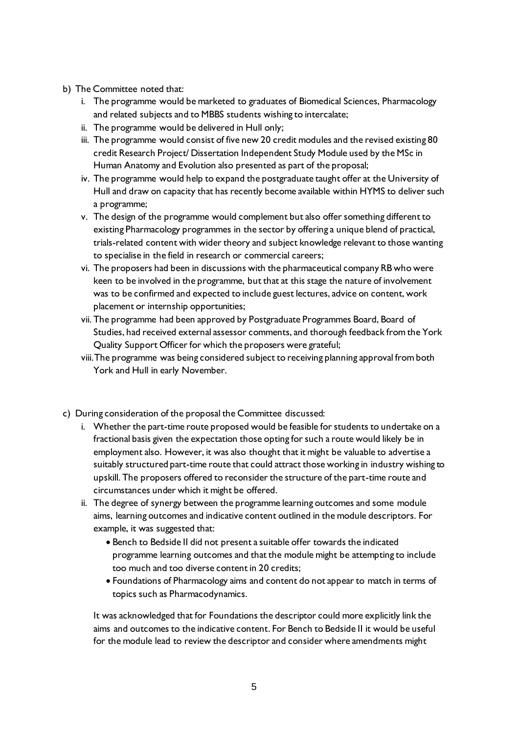- b) The Committee noted that:
	- i. The programme would be marketed to graduates of Biomedical Sciences, Pharmacology and related subjects and to MBBS students wishing to intercalate;
	- ii. The programme would be delivered in Hull only;
	- iii. The programme would consist of five new 20 credit modules and the revised existing 80 credit Research Project/ Dissertation Independent Study Module used by the MSc in Human Anatomy and Evolution also presented as part of the proposal;
	- iv. The programme would help to expand the postgraduate taught offer at the University of Hull and draw on capacity that has recently become available within HYMS to deliver such a programme;
	- v. The design of the programme would complement but also offer something different to existing Pharmacology programmes in the sector by offering a unique blend of practical, trials-related content with wider theory and subject knowledge relevant to those wanting to specialise in the field in research or commercial careers;
	- vi. The proposers had been in discussions with the pharmaceutical company RB who were keen to be involved in the programme, but that at this stage the nature of involvement was to be confirmed and expected to include guest lectures, advice on content, work placement or internship opportunities;
	- vii. The programme had been approved by Postgraduate Programmes Board, Board of Studies, had received external assessor comments, and thorough feedback from the York Quality Support Officer for which the proposers were grateful;
	- viii.The programme was being considered subject to receiving planning approval from both York and Hull in early November.
- c) During consideration of the proposal the Committee discussed:
	- i. Whether the part-time route proposed would be feasible for students to undertake on a fractional basis given the expectation those opting for such a route would likely be in employment also. However, it was also thought that it might be valuable to advertise a suitably structured part-time route that could attract those working in industry wishing to upskill. The proposers offered to reconsider the structure of the part-time route and circumstances under which it might be offered.
	- ii. The degree of synergy between the programme learning outcomes and some module aims, learning outcomes and indicative content outlined in the module descriptors. For example, it was suggested that:
		- Bench to Bedside II did not present a suitable offer towards the indicated programme learning outcomes and that the module might be attempting to include too much and too diverse content in 20 credits;
		- Foundations of Pharmacology aims and content do not appear to match in terms of topics such as Pharmacodynamics.

It was acknowledged that for Foundations the descriptor could more explicitly link the aims and outcomes to the indicative content. For Bench to Bedside II it would be useful for the module lead to review the descriptor and consider where amendments might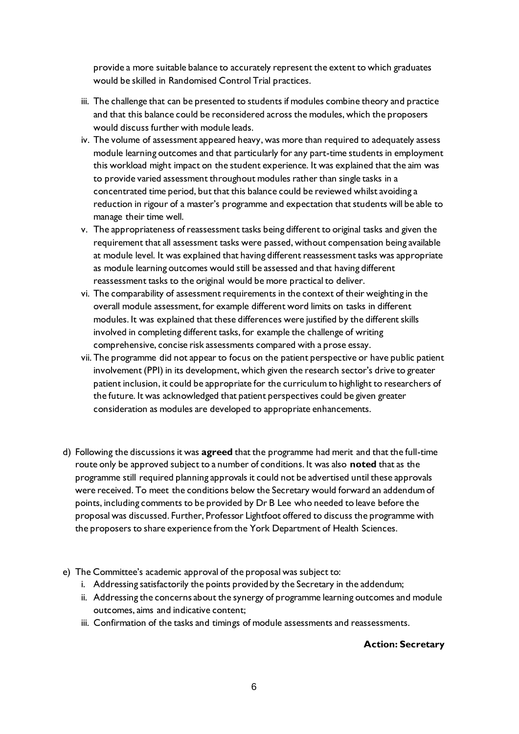provide a more suitable balance to accurately represent the extent to which graduates would be skilled in Randomised Control Trial practices.

- iii. The challenge that can be presented to students if modules combine theory and practice and that this balance could be reconsidered across the modules, which the proposers would discuss further with module leads.
- iv. The volume of assessment appeared heavy, was more than required to adequately assess module learning outcomes and that particularly for any part-time students in employment this workload might impact on the student experience. It was explained that the aim was to provide varied assessment throughout modules rather than single tasks in a concentrated time period, but that this balance could be reviewed whilst avoiding a reduction in rigour of a master's programme and expectation that students will be able to manage their time well.
- v. The appropriateness of reassessment tasks being different to original tasks and given the requirement that all assessment tasks were passed, without compensation being available at module level. It was explained that having different reassessment tasks was appropriate as module learning outcomes would still be assessed and that having different reassessment tasks to the original would be more practical to deliver.
- vi. The comparability of assessment requirements in the context of their weighting in the overall module assessment, for example different word limits on tasks in different modules. It was explained that these differences were justified by the different skills involved in completing different tasks, for example the challenge of writing comprehensive, concise risk assessments compared with a prose essay.
- vii. The programme did not appear to focus on the patient perspective or have public patient involvement (PPI) in its development, which given the research sector's drive to greater patient inclusion, it could be appropriate for the curriculum to highlight to researchers of the future. It was acknowledged that patient perspectives could be given greater consideration as modules are developed to appropriate enhancements.
- d) Following the discussions it was **agreed** that the programme had merit and that the full-time route only be approved subject to a number of conditions. It was also **noted** that as the programme still required planning approvals it could not be advertised until these approvals were received. To meet the conditions below the Secretary would forward an addendum of points, including comments to be provided by Dr B Lee who needed to leave before the proposal was discussed. Further, Professor Lightfoot offered to discuss the programme with the proposers to share experience from the York Department of Health Sciences.
- e) The Committee's academic approval of the proposal was subject to:
	- i. Addressing satisfactorily the points provided by the Secretary in the addendum;
	- ii. Addressing the concerns about the synergy of programme learning outcomes and module outcomes, aims and indicative content;
	- iii. Confirmation of the tasks and timings of module assessments and reassessments.

#### **Action: Secretary**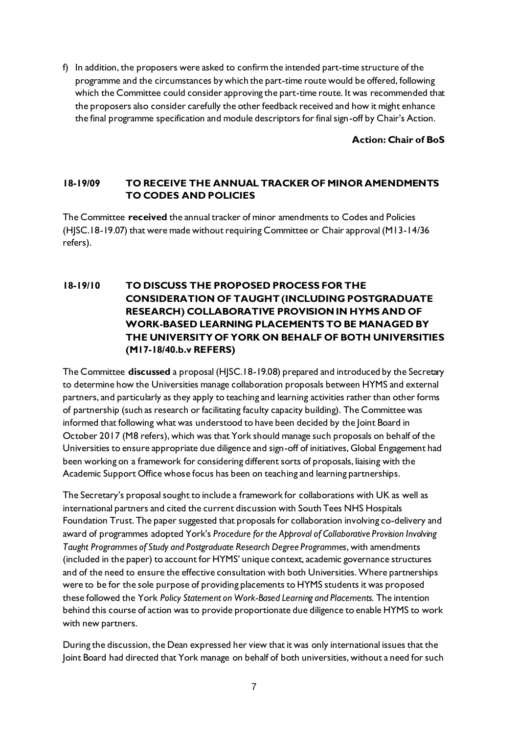f) In addition, the proposers were asked to confirm the intended part-time structure of the programme and the circumstances by which the part-time route would be offered, following which the Committee could consider approving the part-time route. It was recommended that the proposers also consider carefully the other feedback received and how it might enhance the final programme specification and module descriptors for final sign-off by Chair's Action.

**Action: Chair of BoS**

## **18-19/09 TO RECEIVE THE ANNUAL TRACKER OF MINOR AMENDMENTS TO CODES AND POLICIES**

The Committee **received** the annual tracker of minor amendments to Codes and Policies (HJSC.18-19.07) that were made without requiring Committee or Chair approval (M13-14/36 refers).

# **18-19/10 TO DISCUSS THE PROPOSED PROCESS FOR THE CONSIDERATION OF TAUGHT (INCLUDING POSTGRADUATE RESEARCH) COLLABORATIVE PROVISION IN HYMS AND OF WORK-BASED LEARNING PLACEMENTS TO BE MANAGED BY THE UNIVERSITY OF YORK ON BEHALF OF BOTH UNIVERSITIES (M17-18/40.b.v REFERS)**

The Committee **discussed** a proposal (HJSC.18-19.08) prepared and introduced by the Secretary to determine how the Universities manage collaboration proposals between HYMS and external partners, and particularly as they apply to teaching and learning activities rather than other forms of partnership (such as research or facilitating faculty capacity building). The Committee was informed that following what was understood to have been decided by the Joint Board in October 2017 (M8 refers), which was that York should manage such proposals on behalf of the Universities to ensure appropriate due diligence and sign-off of initiatives, Global Engagement had been working on a framework for considering different sorts of proposals, liaising with the Academic Support Office whose focus has been on teaching and learning partnerships.

The Secretary's proposal sought to include a framework for collaborations with UK as well as international partners and cited the current discussion with South Tees NHS Hospitals Foundation Trust. The paper suggested that proposals for collaboration involving co-delivery and award of programmes adopted York's *Procedure for the Approval of Collaborative Provision Involving Taught Programmes of Study and Postgraduate Research Degree Programmes*, with amendments (included in the paper) to account for HYMS' unique context, academic governance structures and of the need to ensure the effective consultation with both Universities. Where partnerships were to be for the sole purpose of providing placements to HYMS students it was proposed these followed the York *Policy Statement on Work-Based Learning and Placements.* The intention behind this course of action was to provide proportionate due diligence to enable HYMS to work with new partners.

During the discussion, the Dean expressed her view that it was only international issues that the Joint Board had directed that York manage on behalf of both universities, without a need for such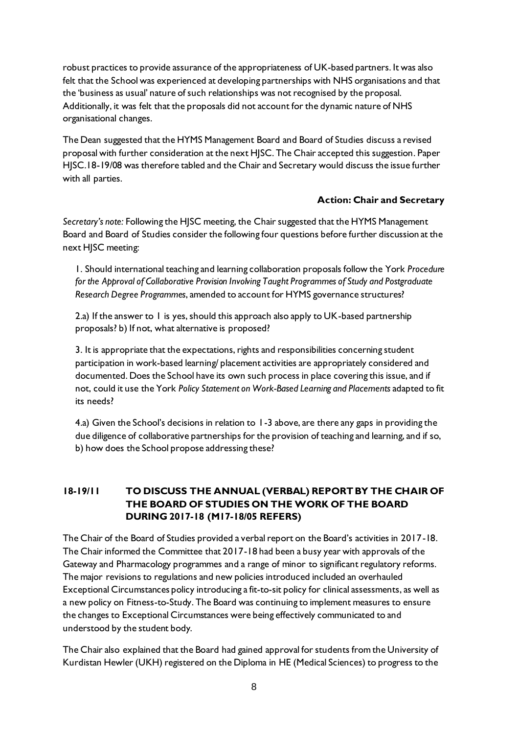robust practices to provide assurance of the appropriateness of UK-based partners. It was also felt that the School was experienced at developing partnerships with NHS organisations and that the 'business as usual' nature of such relationships was not recognised by the proposal. Additionally, it was felt that the proposals did not account for the dynamic nature of NHS organisational changes.

The Dean suggested that the HYMS Management Board and Board of Studies discuss a revised proposal with further consideration at the next HJSC. The Chair accepted this suggestion. Paper HJSC.18-19/08 was therefore tabled and the Chair and Secretary would discuss the issue further with all parties.

### **Action: Chair and Secretary**

*Secretary's note:* Following the HJSC meeting, the Chair suggested that the HYMS Management Board and Board of Studies consider the following four questions before further discussion at the next HJSC meeting:

1. Should international teaching and learning collaboration proposals follow the York *Procedure for the Approval of Collaborative Provision Involving Taught Programmes of Study and Postgraduate Research Degree Programmes*, amended to account for HYMS governance structures?

2.a) If the answer to 1 is yes, should this approach also apply to UK-based partnership proposals? b) If not, what alternative is proposed?

3. It is appropriate that the expectations, rights and responsibilities concerning student participation in work-based learning/ placement activities are appropriately considered and documented. Does the School have its own such process in place covering this issue, and if not, could it use the York *Policy Statement on Work-Based Learning and Placements* adapted to fit its needs?

4.a) Given the School's decisions in relation to 1-3 above, are there any gaps in providing the due diligence of collaborative partnerships for the provision of teaching and learning, and if so, b) how does the School propose addressing these?

# **18-19/11 TO DISCUSS THE ANNUAL (VERBAL) REPORT BY THE CHAIR OF THE BOARD OF STUDIES ON THE WORK OF THE BOARD DURING 2017-18 (M17-18/05 REFERS)**

The Chair of the Board of Studies provided a verbal report on the Board's activities in 2017-18. The Chair informed the Committee that 2017-18 had been a busy year with approvals of the Gateway and Pharmacology programmes and a range of minor to significant regulatory reforms. The major revisions to regulations and new policies introduced included an overhauled Exceptional Circumstances policy introducing a fit-to-sit policy for clinical assessments, as well as a new policy on Fitness-to-Study. The Board was continuing to implement measures to ensure the changes to Exceptional Circumstances were being effectively communicated to and understood by the student body.

The Chair also explained that the Board had gained approval for students from the University of Kurdistan Hewler (UKH) registered on the Diploma in HE (Medical Sciences) to progress to the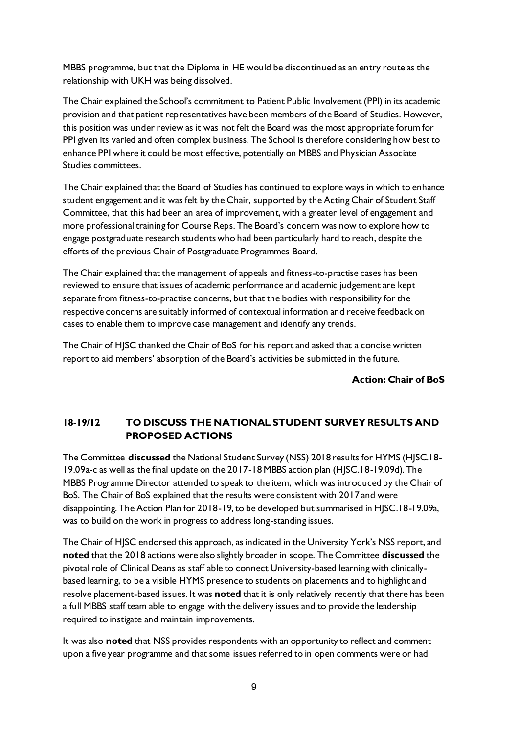MBBS programme, but that the Diploma in HE would be discontinued as an entry route as the relationship with UKH was being dissolved.

The Chair explained the School's commitment to Patient Public Involvement (PPI) in its academic provision and that patient representatives have been members of the Board of Studies. However, this position was under review as it was not felt the Board was the most appropriate forum for PPI given its varied and often complex business. The School is therefore considering how best to enhance PPI where it could be most effective, potentially on MBBS and Physician Associate Studies committees.

The Chair explained that the Board of Studies has continued to explore ways in which to enhance student engagement and it was felt by the Chair, supported by the Acting Chair of Student Staff Committee, that this had been an area of improvement, with a greater level of engagement and more professional training for Course Reps. The Board's concern was now to explore how to engage postgraduate research students who had been particularly hard to reach, despite the efforts of the previous Chair of Postgraduate Programmes Board.

The Chair explained that the management of appeals and fitness-to-practise cases has been reviewed to ensure that issues of academic performance and academic judgement are kept separate from fitness-to-practise concerns, but that the bodies with responsibility for the respective concerns are suitably informed of contextual information and receive feedback on cases to enable them to improve case management and identify any trends.

The Chair of HJSC thanked the Chair of BoS for his report and asked that a concise written report to aid members' absorption of the Board's activities be submitted in the future.

**Action: Chair of BoS**

# **18-19/12 TO DISCUSS THE NATIONAL STUDENT SURVEY RESULTS AND PROPOSED ACTIONS**

The Committee **discussed** the National Student Survey (NSS) 2018 results for HYMS (HJSC.18- 19.09a-c as well as the final update on the 2017-18 MBBS action plan (HJSC.18-19.09d). The MBBS Programme Director attended to speak to the item, which was introduced by the Chair of BoS. The Chair of BoS explained that the results were consistent with 2017 and were disappointing. The Action Plan for 2018-19, to be developed but summarised in HJSC.18-19.09a, was to build on the work in progress to address long-standing issues.

The Chair of HJSC endorsed this approach, as indicated in the University York's NSS report, and **noted** that the 2018 actions were also slightly broader in scope. The Committee **discussed** the pivotal role of Clinical Deans as staff able to connect University-based learning with clinicallybased learning, to be a visible HYMS presence to students on placements and to highlight and resolve placement-based issues. It was **noted** that it is only relatively recently that there has been a full MBBS staff team able to engage with the delivery issues and to provide the leadership required to instigate and maintain improvements.

It was also **noted** that NSS provides respondents with an opportunity to reflect and comment upon a five year programme and that some issues referred to in open comments were or had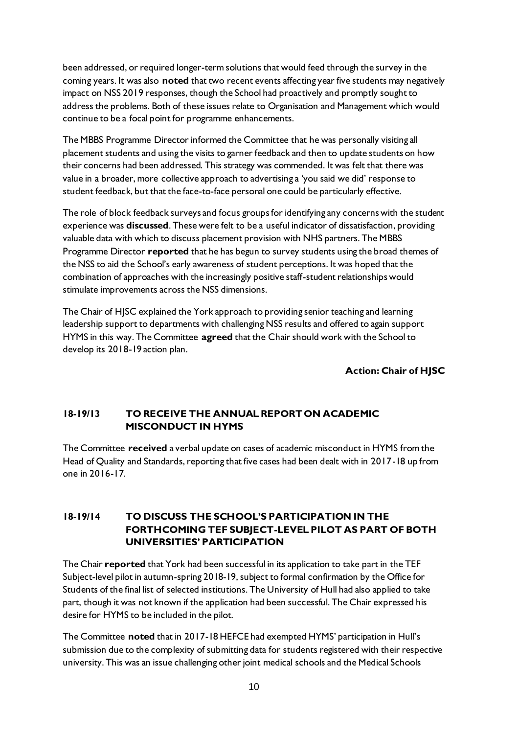been addressed, or required longer-term solutions that would feed through the survey in the coming years. It was also **noted** that two recent events affecting year five students may negatively impact on NSS 2019 responses, though the School had proactively and promptly sought to address the problems. Both of these issues relate to Organisation and Management which would continue to be a focal point for programme enhancements.

The MBBS Programme Director informed the Committee that he was personally visiting all placement students and using the visits to garner feedback and then to update students on how their concerns had been addressed. This strategy was commended. It was felt that there was value in a broader, more collective approach to advertising a 'you said we did' response to student feedback, but that the face-to-face personal one could be particularly effective.

The role of block feedback surveys and focus groups for identifying any concerns with the student experience was **discussed**. These were felt to be a useful indicator of dissatisfaction, providing valuable data with which to discuss placement provision with NHS partners. The MBBS Programme Director **reported** that he has begun to survey students using the broad themes of the NSS to aid the School's early awareness of student perceptions. It was hoped that the combination of approaches with the increasingly positive staff-student relationships would stimulate improvements across the NSS dimensions.

The Chair of HJSC explained the York approach to providing senior teaching and learning leadership support to departments with challenging NSS results and offered to again support HYMS in this way. The Committee **agreed** that the Chair should work with the School to develop its 2018-19 action plan.

## **Action: Chair of HJSC**

## **18-19/13 TO RECEIVE THE ANNUAL REPORT ON ACADEMIC MISCONDUCT IN HYMS**

The Committee **received** a verbal update on cases of academic misconduct in HYMS from the Head of Quality and Standards, reporting that five cases had been dealt with in 2017-18 up from one in 2016-17.

# **18-19/14 TO DISCUSS THE SCHOOL'S PARTICIPATION IN THE FORTHCOMING TEF SUBJECT-LEVEL PILOT AS PART OF BOTH UNIVERSITIES' PARTICIPATION**

The Chair **reported** that York had been successful in its application to take part in the TEF Subject-level pilot in autumn-spring 2018-19, subject to formal confirmation by the Office for Students of the final list of selected institutions. The University of Hull had also applied to take part, though it was not known if the application had been successful. The Chair expressed his desire for HYMS to be included in the pilot.

The Committee **noted** that in 2017-18 HEFCE had exempted HYMS' participation in Hull's submission due to the complexity of submitting data for students registered with their respective university. This was an issue challenging other joint medical schools and the Medical Schools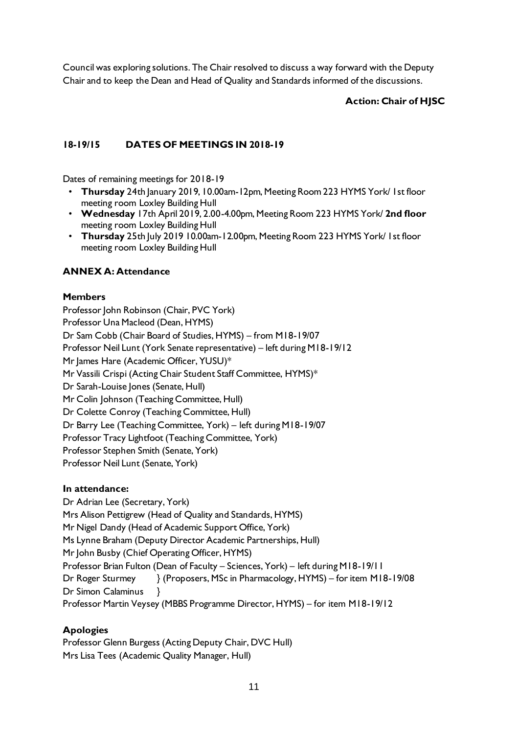Council was exploring solutions. The Chair resolved to discuss a way forward with the Deputy Chair and to keep the Dean and Head of Quality and Standards informed of the discussions.

# **Action: Chair of HJSC**

# **18-19/15 DATES OF MEETINGS IN 2018-19**

Dates of remaining meetings for 2018-19

- **Thursday** 24th January 2019, 10.00am-12pm, Meeting Room 223 HYMS York/ 1st floor meeting room Loxley Building Hull
- **Wednesday** 17th April 2019, 2.00-4.00pm, Meeting Room 223 HYMS York/ **2nd floor** meeting room Loxley Building Hull
- **Thursday** 25th July 2019 10.00am-12.00pm, Meeting Room 223 HYMS York/ 1st floor meeting room Loxley Building Hull

## **ANNEX A: Attendance**

### **Members**

Professor John Robinson (Chair, PVC York) Professor Una Macleod (Dean, HYMS) Dr Sam Cobb (Chair Board of Studies, HYMS) – from M18-19/07 Professor Neil Lunt (York Senate representative) – left during M18-19/12 Mr James Hare (Academic Officer, YUSU)\* Mr Vassili Crispi (Acting Chair Student Staff Committee, HYMS)\* Dr Sarah-Louise Jones (Senate, Hull) Mr Colin Johnson (Teaching Committee, Hull) Dr Colette Conroy (Teaching Committee, Hull) Dr Barry Lee (Teaching Committee, York) – left during M18-19/07 Professor Tracy Lightfoot (Teaching Committee, York) Professor Stephen Smith (Senate, York) Professor Neil Lunt (Senate, York)

## **In attendance:**

Dr Adrian Lee (Secretary, York) Mrs Alison Pettigrew (Head of Quality and Standards, HYMS) Mr Nigel Dandy (Head of Academic Support Office, York) Ms Lynne Braham (Deputy Director Academic Partnerships, Hull) Mr John Busby (Chief Operating Officer, HYMS) Professor Brian Fulton (Dean of Faculty – Sciences, York) – left during M18-19/11 Dr Roger Sturmey } (Proposers, MSc in Pharmacology, HYMS) – for item M18-19/08 Dr Simon Calaminus } Professor Martin Veysey (MBBS Programme Director, HYMS) – for item M18-19/12

## **Apologies**

Professor Glenn Burgess (Acting Deputy Chair, DVC Hull) Mrs Lisa Tees (Academic Quality Manager, Hull)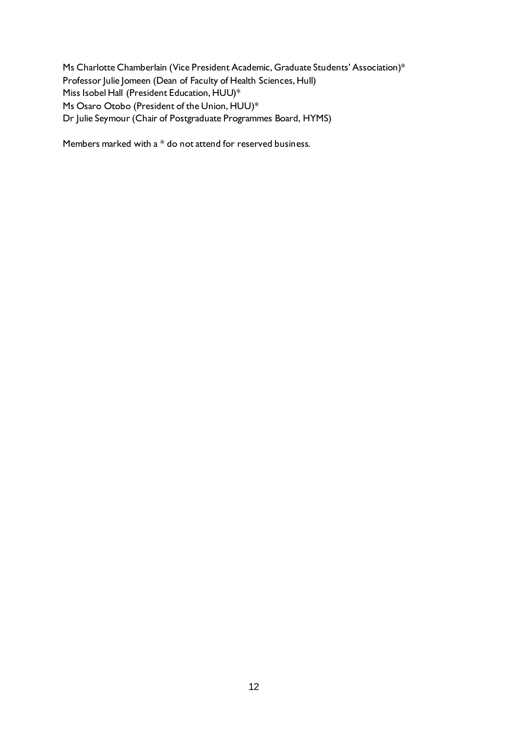Ms Charlotte Chamberlain (Vice President Academic, Graduate Students' Association)\* Professor Julie Jomeen (Dean of Faculty of Health Sciences, Hull) Miss Isobel Hall (President Education, HUU)\* Ms Osaro Otobo (President of the Union, HUU)\* Dr Julie Seymour (Chair of Postgraduate Programmes Board, HYMS)

Members marked with a \* do not attend for reserved business.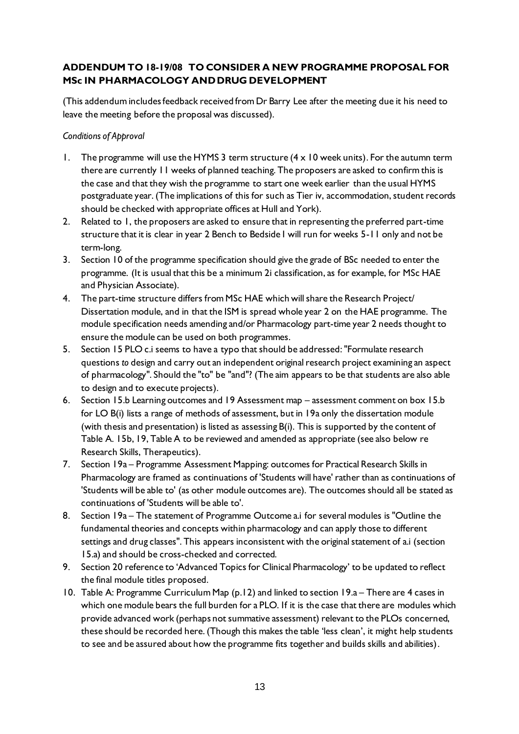# **ADDENDUM TO 18-19/08 TO CONSIDER A NEW PROGRAMME PROPOSAL FOR MSc IN PHARMACOLOGY AND DRUG DEVELOPMENT**

(This addendum includes feedback received from Dr Barry Lee after the meeting due it his need to leave the meeting before the proposal was discussed).

### *Conditions of Approval*

- 1. The programme will use the HYMS 3 term structure  $(4 \times 10$  week units). For the autumn term there are currently 11 weeks of planned teaching. The proposers are asked to confirm this is the case and that they wish the programme to start one week earlier than the usual HYMS postgraduate year. (The implications of this for such as Tier iv, accommodation, student records should be checked with appropriate offices at Hull and York).
- 2. Related to 1, the proposers are asked to ensure that in representing the preferred part-time structure that it is clear in year 2 Bench to Bedside I will run for weeks 5-11 only and not be term-long.
- 3. Section 10 of the programme specification should give the grade of BSc needed to enter the programme. (It is usual that this be a minimum 2i classification, as for example, for MSc HAE and Physician Associate).
- 4. The part-time structure differs from MSc HAE which will share the Research Project/ Dissertation module, and in that the ISM is spread whole year 2 on the HAE programme. The module specification needs amending and/or Pharmacology part-time year 2 needs thought to ensure the module can be used on both programmes.
- 5. Section 15 PLO c.i seems to have a typo that should be addressed: "Formulate research questions *to* design and carry out an independent original research project examining an aspect of pharmacology". Should the "to" be "and"? (The aim appears to be that students are also able to design and to execute projects).
- 6. Section 15.b Learning outcomes and 19 Assessment map assessment comment on box 15.b for LO B(i) lists a range of methods of assessment, but in 19a only the dissertation module (with thesis and presentation) is listed as assessing B(i). This is supported by the content of Table A. 15b, 19, Table A to be reviewed and amended as appropriate (see also below re Research Skills, Therapeutics).
- 7. Section 19a Programme Assessment Mapping: outcomes for Practical Research Skills in Pharmacology are framed as continuations of 'Students will have' rather than as continuations of 'Students will be able to' (as other module outcomes are). The outcomes should all be stated as continuations of 'Students will be able to'.
- 8. Section 19a The statement of Programme Outcome a.i for several modules is "Outline the fundamental theories and concepts within pharmacology and can apply those to different settings and drug classes". This appears inconsistent with the original statement of a.i (section 15.a) and should be cross-checked and corrected.
- 9. Section 20 reference to 'Advanced Topics for Clinical Pharmacology' to be updated to reflect the final module titles proposed.
- 10. Table A: Programme Curriculum Map (p.12) and linked to section 19.a There are 4 cases in which one module bears the full burden for a PLO. If it is the case that there are modules which provide advanced work (perhaps not summative assessment) relevant to the PLOs concerned, these should be recorded here. (Though this makes the table 'less clean', it might help students to see and be assured about how the programme fits together and builds skills and abilities).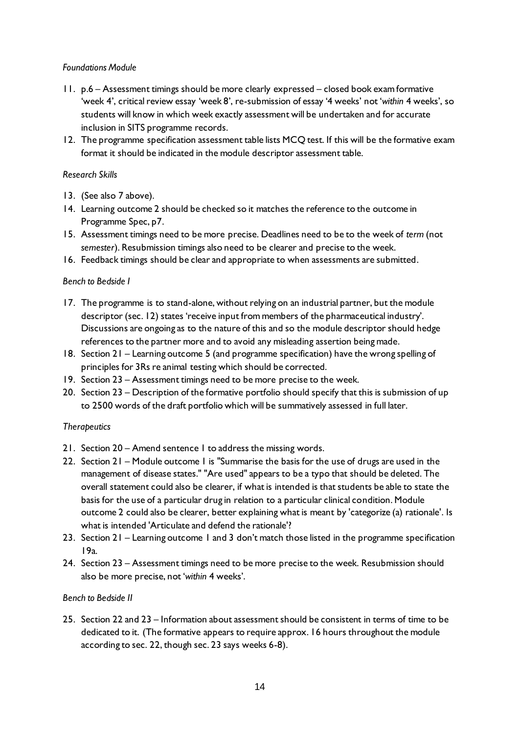### *Foundations Module*

- 11. p.6 Assessment timings should be more clearly expressed closed book exam formative 'week 4', critical review essay 'week 8', re-submission of essay '4 weeks' not '*within* 4 weeks', so students will know in which week exactly assessment will be undertaken and for accurate inclusion in SITS programme records.
- 12. The programme specification assessment table lists MCQ test. If this will be the formative exam format it should be indicated in the module descriptor assessment table.

### *Research Skills*

- 13. (See also 7 above).
- 14. Learning outcome 2 should be checked so it matches the reference to the outcome in Programme Spec, p7.
- 15. Assessment timings need to be more precise. Deadlines need to be to the week of *term* (not *semester*). Resubmission timings also need to be clearer and precise to the week.
- 16. Feedback timings should be clear and appropriate to when assessments are submitted.

### *Bench to Bedside I*

- 17. The programme is to stand-alone, without relying on an industrial partner, but the module descriptor (sec. 12) states 'receive input from members of the pharmaceutical industry'. Discussions are ongoing as to the nature of this and so the module descriptor should hedge references to the partner more and to avoid any misleading assertion being made.
- 18. Section 21 Learning outcome 5 (and programme specification) have the wrong spelling of principles for 3Rs re animal testing which should be corrected.
- 19. Section 23 Assessment timings need to be more precise to the week.
- 20. Section 23 Description of the formative portfolio should specify that this is submission of up to 2500 words of the draft portfolio which will be summatively assessed in full later.

#### *Therapeutics*

- 21. Section 20 Amend sentence 1 to address the missing words.
- 22. Section 21 Module outcome 1 is "Summarise the basis for the use of drugs are used in the management of disease states." "Are used" appears to be a typo that should be deleted. The overall statement could also be clearer, if what is intended is that students be able to state the basis for the use of a particular drug in relation to a particular clinical condition. Module outcome 2 could also be clearer, better explaining what is meant by 'categorize (a) rationale'. Is what is intended 'Articulate and defend the rationale'?
- 23. Section 21 Learning outcome 1 and 3 don't match those listed in the programme specification 19a.
- 24. Section 23 Assessment timings need to be more precise to the week. Resubmission should also be more precise, not '*within* 4 weeks'.

#### *Bench to Bedside II*

25. Section 22 and 23 – Information about assessment should be consistent in terms of time to be dedicated to it. (The formative appears to require approx. 16 hours throughout the module according to sec. 22, though sec. 23 says weeks 6-8).